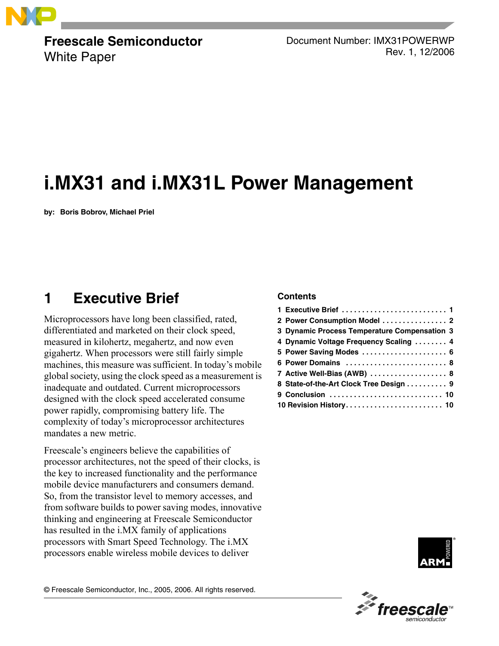

## **Freescale Semiconductor** White Paper

Document Number: IMX31POWERWP Rev. 1, 12/2006

# **i.MX31 and i.MX31L Power Management**

**by: Boris Bobrov, Michael Priel**

## <span id="page-0-0"></span>**1 Executive Brief**

Microprocessors have long been classified, rated, differentiated and marketed on their clock speed, measured in kilohertz, megahertz, and now even gigahertz. When processors were still fairly simple machines, this measure was sufficient. In today's mobile global society, using the clock speed as a measurement is inadequate and outdated. Current microprocessors designed with the clock speed accelerated consume power rapidly, compromising battery life. The complexity of today's microprocessor architectures mandates a new metric.

Freescale's engineers believe the capabilities of processor architectures, not the speed of their clocks, is the key to increased functionality and the performance mobile device manufacturers and consumers demand. So, from the transistor level to memory accesses, and from software builds to power saving modes, innovative thinking and engineering at Freescale Semiconductor has resulted in the i.MX family of applications processors with Smart Speed Technology. The i.MX processors enable wireless mobile devices to deliver

#### © Freescale Semiconductor, Inc., 2005, 2006. All rights reserved.

### **Contents**

| 2 Power Consumption Model  2                 |  |
|----------------------------------------------|--|
| 3 Dynamic Process Temperature Compensation 3 |  |
| 4 Dynamic Voltage Frequency Scaling  4       |  |
|                                              |  |
| 6 Power Domains  8                           |  |
| 7 Active Well-Bias (AWB)  8                  |  |
| 8 State-of-the-Art Clock Tree Design 9       |  |
|                                              |  |
|                                              |  |
|                                              |  |



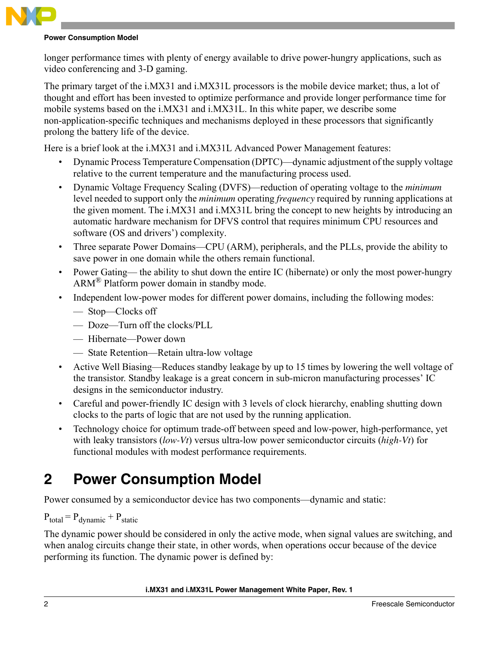### **Power Consumption Model**

longer performance times with plenty of energy available to drive power-hungry applications, such as video conferencing and 3-D gaming.

The primary target of the i.MX31 and i.MX31L processors is the mobile device market; thus, a lot of thought and effort has been invested to optimize performance and provide longer performance time for mobile systems based on the i.MX31 and i.MX31L. In this white paper, we describe some non-application-specific techniques and mechanisms deployed in these processors that significantly prolong the battery life of the device.

Here is a brief look at the i.MX31 and i.MX31L Advanced Power Management features:

- Dynamic Process Temperature Compensation (DPTC)—dynamic adjustment of the supply voltage relative to the current temperature and the manufacturing process used.
- Dynamic Voltage Frequency Scaling (DVFS)—reduction of operating voltage to the *minimum* level needed to support only the *minimum* operating *frequency* required by running applications at the given moment. The i.MX31 and i.MX31L bring the concept to new heights by introducing an automatic hardware mechanism for DFVS control that requires minimum CPU resources and software (OS and drivers') complexity.
- Three separate Power Domains—CPU (ARM), peripherals, and the PLLs, provide the ability to save power in one domain while the others remain functional.
- Power Gating— the ability to shut down the entire IC (hibernate) or only the most power-hungry ARM® Platform power domain in standby mode.
- Independent low-power modes for different power domains, including the following modes:
	- Stop—Clocks off
	- Doze—Turn off the clocks/PLL
	- Hibernate—Power down
	- State Retention—Retain ultra-low voltage
- Active Well Biasing—Reduces standby leakage by up to 15 times by lowering the well voltage of the transistor. Standby leakage is a great concern in sub-micron manufacturing processes' IC designs in the semiconductor industry.
- Careful and power-friendly IC design with 3 levels of clock hierarchy, enabling shutting down clocks to the parts of logic that are not used by the running application.
- Technology choice for optimum trade-off between speed and low-power, high-performance, yet with leaky transistors (*low-Vt*) versus ultra-low power semiconductor circuits (*high-Vt*) for functional modules with modest performance requirements.

## <span id="page-1-0"></span>**2 Power Consumption Model**

Power consumed by a semiconductor device has two components—dynamic and static:

 $P_{total} = P_{dynamic} + P_{static}$ 

The dynamic power should be considered in only the active mode, when signal values are switching, and when analog circuits change their state, in other words, when operations occur because of the device performing its function. The dynamic power is defined by: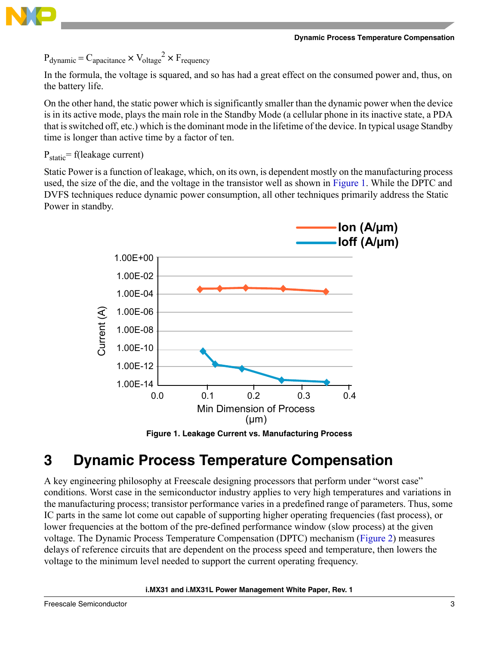

## $P_{\text{dynamic}} = C_{\text{apacitance}} \times V_{\text{oltage}}^2 \times F_{\text{requency}}$

In the formula, the voltage is squared, and so has had a great effect on the consumed power and, thus, on the battery life.

On the other hand, the static power which is significantly smaller than the dynamic power when the device is in its active mode, plays the main role in the Standby Mode (a cellular phone in its inactive state, a PDA that is switched off, etc.) which is the dominant mode in the lifetime of the device. In typical usage Standby time is longer than active time by a factor of ten.

 $P_{static}$ = f(leakage current)

Static Power is a function of leakage, which, on its own, is dependent mostly on the manufacturing process used, the size of the die, and the voltage in the transistor well as shown in [Figure](#page-2-1) 1. While the DPTC and DVFS techniques reduce dynamic power consumption, all other techniques primarily address the Static Power in standby.



**Figure 1. Leakage Current vs. Manufacturing Process**

## <span id="page-2-1"></span><span id="page-2-0"></span>**3 Dynamic Process Temperature Compensation**

A key engineering philosophy at Freescale designing processors that perform under "worst case" conditions. Worst case in the semiconductor industry applies to very high temperatures and variations in the manufacturing process; transistor performance varies in a predefined range of parameters. Thus, some IC parts in the same lot come out capable of supporting higher operating frequencies (fast process), or lower frequencies at the bottom of the pre-defined performance window (slow process) at the given voltage. The Dynamic Process Temperature Compensation (DPTC) mechanism ([Figure](#page-3-1) 2) measures delays of reference circuits that are dependent on the process speed and temperature, then lowers the voltage to the minimum level needed to support the current operating frequency.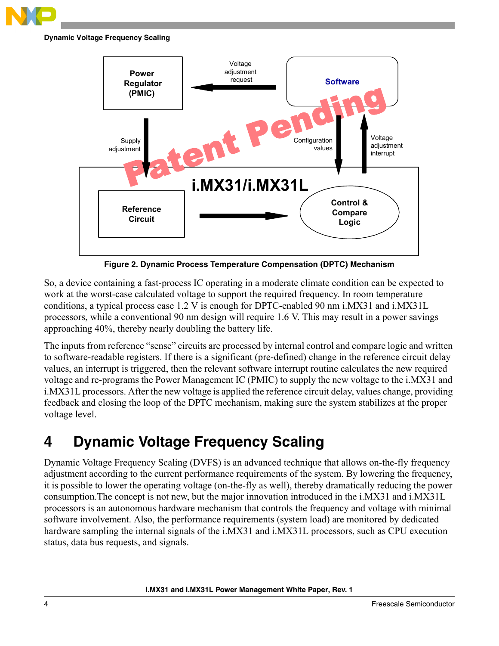

#### **Dynamic Voltage Frequency Scaling**



**Figure 2. Dynamic Process Temperature Compensation (DPTC) Mechanism**

<span id="page-3-1"></span>So, a device containing a fast-process IC operating in a moderate climate condition can be expected to work at the worst-case calculated voltage to support the required frequency. In room temperature conditions, a typical process case 1.2 V is enough for DPTC-enabled 90 nm i.MX31 and i.MX31L processors, while a conventional 90 nm design will require 1.6 V. This may result in a power savings approaching 40%, thereby nearly doubling the battery life.

The inputs from reference "sense" circuits are processed by internal control and compare logic and written to software-readable registers. If there is a significant (pre-defined) change in the reference circuit delay values, an interrupt is triggered, then the relevant software interrupt routine calculates the new required voltage and re-programs the Power Management IC (PMIC) to supply the new voltage to the i.MX31 and i.MX31L processors. After the new voltage is applied the reference circuit delay, values change, providing feedback and closing the loop of the DPTC mechanism, making sure the system stabilizes at the proper voltage level.

## <span id="page-3-0"></span>**4 Dynamic Voltage Frequency Scaling**

Dynamic Voltage Frequency Scaling (DVFS) is an advanced technique that allows on-the-fly frequency adjustment according to the current performance requirements of the system. By lowering the frequency, it is possible to lower the operating voltage (on-the-fly as well), thereby dramatically reducing the power consumption.The concept is not new, but the major innovation introduced in the i.MX31 and i.MX31L processors is an autonomous hardware mechanism that controls the frequency and voltage with minimal software involvement. Also, the performance requirements (system load) are monitored by dedicated hardware sampling the internal signals of the i.MX31 and i.MX31L processors, such as CPU execution status, data bus requests, and signals.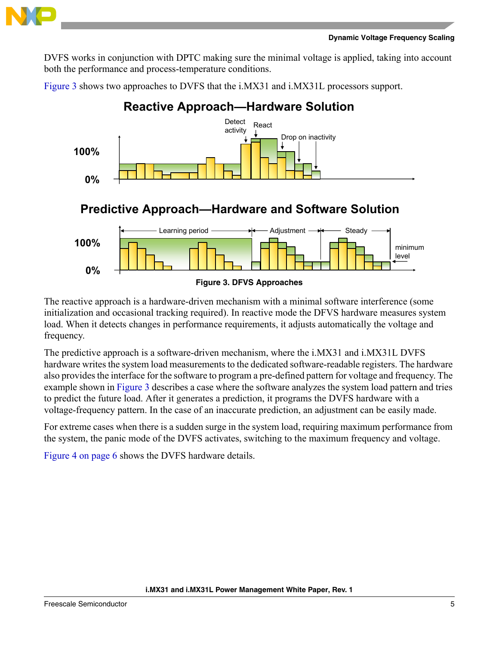

DVFS works in conjunction with DPTC making sure the minimal voltage is applied, taking into account both the performance and process-temperature conditions.

[Figure](#page-4-0) 3 shows two approaches to DVFS that the i.MX31 and i.MX31L processors support.



<span id="page-4-0"></span>The reactive approach is a hardware-driven mechanism with a minimal software interference (some initialization and occasional tracking required). In reactive mode the DFVS hardware measures system load. When it detects changes in performance requirements, it adjusts automatically the voltage and frequency.

The predictive approach is a software-driven mechanism, where the i.MX31 and i.MX31L DVFS hardware writes the system load measurements to the dedicated software-readable registers. The hardware also provides the interface for the software to program a pre-defined pattern for voltage and frequency. The example shown in [Figure](#page-4-0) 3 describes a case where the software analyzes the system load pattern and tries to predict the future load. After it generates a prediction, it programs the DVFS hardware with a voltage-frequency pattern. In the case of an inaccurate prediction, an adjustment can be easily made.

For extreme cases when there is a sudden surge in the system load, requiring maximum performance from the system, the panic mode of the DVFS activates, switching to the maximum frequency and voltage.

Figure [4 on page 6](#page-5-1) shows the DVFS hardware details.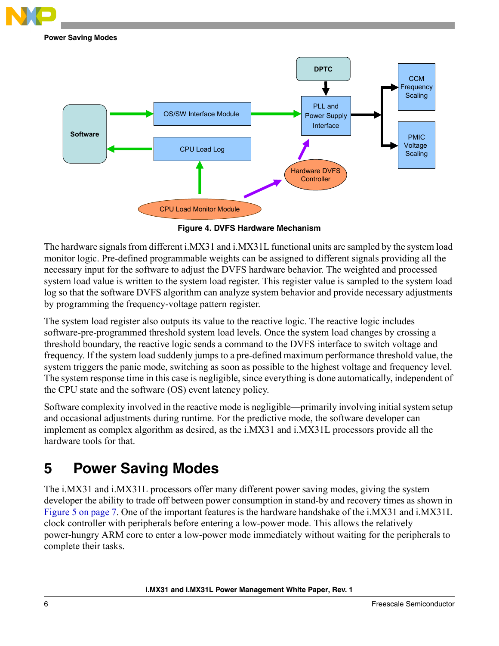

**Power Saving Modes**



**Figure 4. DVFS Hardware Mechanism**

<span id="page-5-1"></span>The hardware signals from different i.MX31 and i.MX31L functional units are sampled by the system load monitor logic. Pre-defined programmable weights can be assigned to different signals providing all the necessary input for the software to adjust the DVFS hardware behavior. The weighted and processed system load value is written to the system load register. This register value is sampled to the system load log so that the software DVFS algorithm can analyze system behavior and provide necessary adjustments by programming the frequency-voltage pattern register.

The system load register also outputs its value to the reactive logic. The reactive logic includes software-pre-programmed threshold system load levels. Once the system load changes by crossing a threshold boundary, the reactive logic sends a command to the DVFS interface to switch voltage and frequency. If the system load suddenly jumps to a pre-defined maximum performance threshold value, the system triggers the panic mode, switching as soon as possible to the highest voltage and frequency level. The system response time in this case is negligible, since everything is done automatically, independent of the CPU state and the software (OS) event latency policy.

Software complexity involved in the reactive mode is negligible—primarily involving initial system setup and occasional adjustments during runtime. For the predictive mode, the software developer can implement as complex algorithm as desired, as the i.MX31 and i.MX31L processors provide all the hardware tools for that.

# <span id="page-5-0"></span>**5 Power Saving Modes**

The i.MX31 and i.MX31L processors offer many different power saving modes, giving the system developer the ability to trade off between power consumption in stand-by and recovery times as shown in Figure [5 on page 7.](#page-6-0) One of the important features is the hardware handshake of the i.MX31 and i.MX31L clock controller with peripherals before entering a low-power mode. This allows the relatively power-hungry ARM core to enter a low-power mode immediately without waiting for the peripherals to complete their tasks.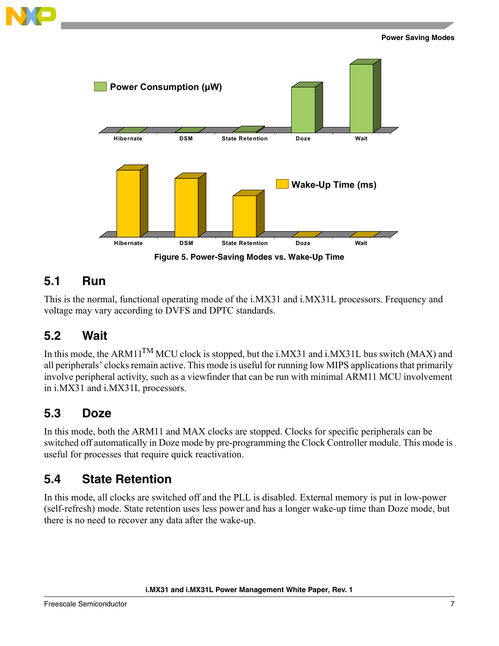



### <span id="page-6-0"></span>**5.1 Run**

This is the normal, functional operating mode of the i.MX31 and i.MX31L processors. Frequency and voltage may vary according to DVFS and DPTC standards.

### **5.2 Wait**

In this mode, the ARM11<sup>TM</sup> MCU clock is stopped, but the i.MX31 and i.MX31L bus switch (MAX) and all peripherals' clocks remain active. This mode is useful for running low MIPS applications that primarily involve peripheral activity, such as a viewfinder that can be run with minimal ARM11 MCU involvement in i.MX31 and i.MX31L processors.

### **5.3 Doze**

In this mode, both the ARM11 and MAX clocks are stopped. Clocks for specific peripherals can be switched off automatically in Doze mode by pre-programming the Clock Controller module. This mode is useful for processes that require quick reactivation.

### **5.4 State Retention**

In this mode, all clocks are switched off and the PLL is disabled. External memory is put in low-power (self-refresh) mode. State retention uses less power and has a longer wake-up time than Doze mode, but there is no need to recover any data after the wake-up.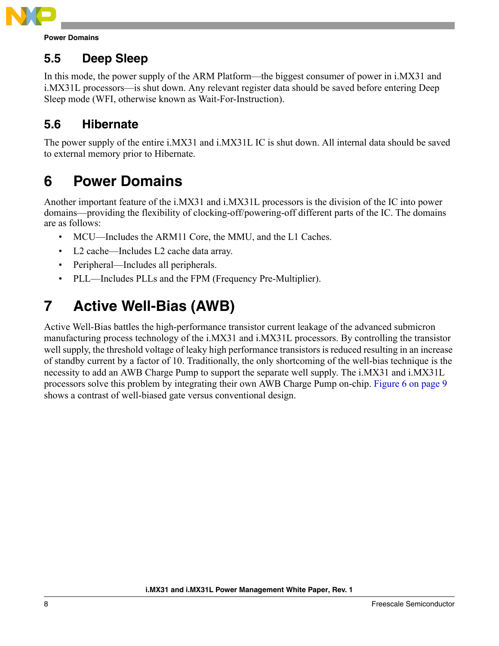

**Power Domains**

## **5.5 Deep Sleep**

In this mode, the power supply of the ARM Platform—the biggest consumer of power in i.MX31 and i.MX31L processors—is shut down. Any relevant register data should be saved before entering Deep Sleep mode (WFI, otherwise known as Wait-For-Instruction).

## **5.6 Hibernate**

The power supply of the entire i.MX31 and i.MX31L IC is shut down. All internal data should be saved to external memory prior to Hibernate.

## <span id="page-7-0"></span>**6 Power Domains**

Another important feature of the i.MX31 and i.MX31L processors is the division of the IC into power domains—providing the flexibility of clocking-off/powering-off different parts of the IC. The domains are as follows:

- MCU—Includes the ARM11 Core, the MMU, and the L1 Caches.
- L2 cache—Includes L2 cache data array.
- Peripheral—Includes all peripherals.
- PLL—Includes PLLs and the FPM (Frequency Pre-Multiplier).

## <span id="page-7-1"></span>**7 Active Well-Bias (AWB)**

Active Well-Bias battles the high-performance transistor current leakage of the advanced submicron manufacturing process technology of the i.MX31 and i.MX31L processors. By controlling the transistor well supply, the threshold voltage of leaky high performance transistors is reduced resulting in an increase of standby current by a factor of 10. Traditionally, the only shortcoming of the well-bias technique is the necessity to add an AWB Charge Pump to support the separate well supply. The i.MX31 and i.MX31L processors solve this problem by integrating their own AWB Charge Pump on-chip. Figure [6 on page 9](#page-8-1) shows a contrast of well-biased gate versus conventional design.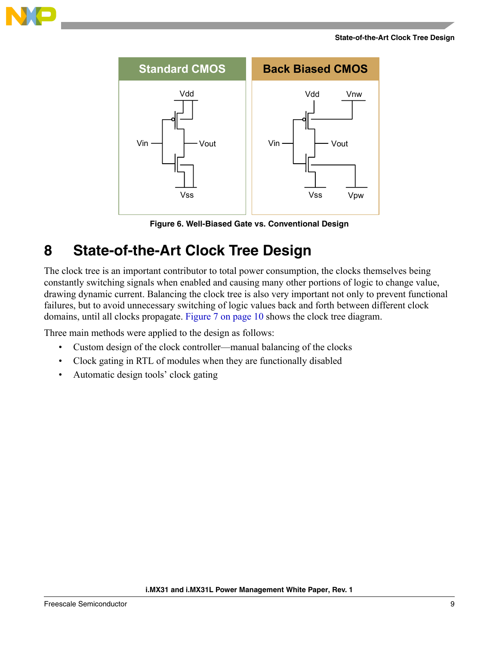





**Figure 6. Well-Biased Gate vs. Conventional Design**

## <span id="page-8-1"></span><span id="page-8-0"></span>**8 State-of-the-Art Clock Tree Design**

The clock tree is an important contributor to total power consumption, the clocks themselves being constantly switching signals when enabled and causing many other portions of logic to change value, drawing dynamic current. Balancing the clock tree is also very important not only to prevent functional failures, but to avoid unnecessary switching of logic values back and forth between different clock domains, until all clocks propagate. Figure [7 on page 10](#page-9-1) shows the clock tree diagram.

Three main methods were applied to the design as follows:

- Custom design of the clock controller—manual balancing of the clocks
- Clock gating in RTL of modules when they are functionally disabled
- Automatic design tools' clock gating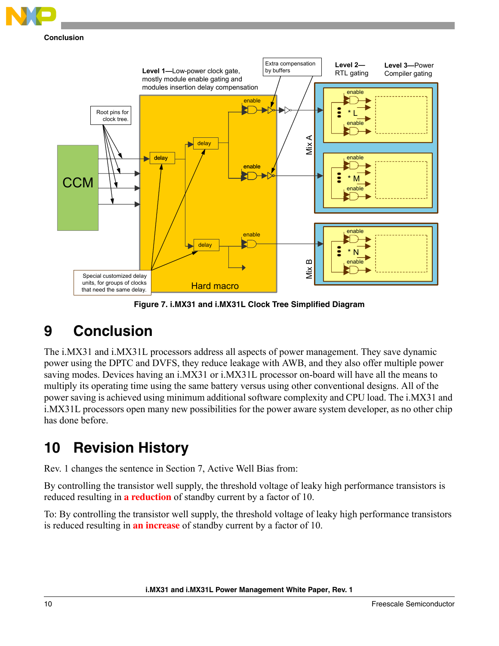



**Figure 7. i.MX31 and i.MX31L Clock Tree Simplified Diagram**

## <span id="page-9-1"></span><span id="page-9-0"></span>**9 Conclusion**

The i.MX31 and i.MX31L processors address all aspects of power management. They save dynamic power using the DPTC and DVFS, they reduce leakage with AWB, and they also offer multiple power saving modes. Devices having an i.MX31 or i.MX31L processor on-board will have all the means to multiply its operating time using the same battery versus using other conventional designs. All of the power saving is achieved using minimum additional software complexity and CPU load. The i.MX31 and i.MX31L processors open many new possibilities for the power aware system developer, as no other chip has done before.

## **10 Revision History**

Rev. 1 changes the sentence in Section 7, Active Well Bias from:

By controlling the transistor well supply, the threshold voltage of leaky high performance transistors is reduced resulting in **a reduction** of standby current by a factor of 10.

To: By controlling the transistor well supply, the threshold voltage of leaky high performance transistors is reduced resulting in **an increase** of standby current by a factor of 10.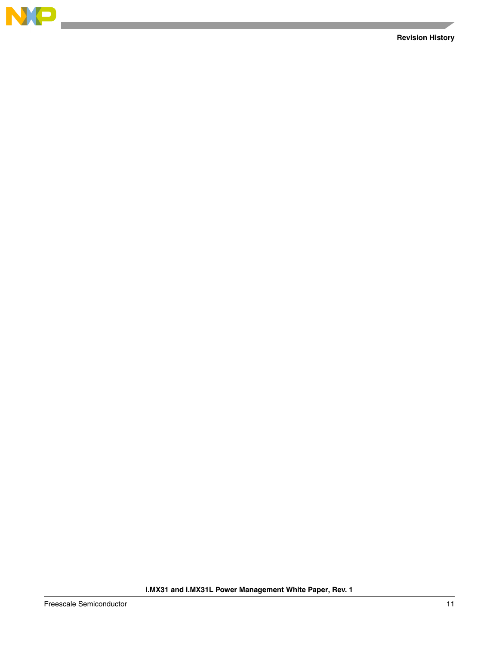

**Revision History**